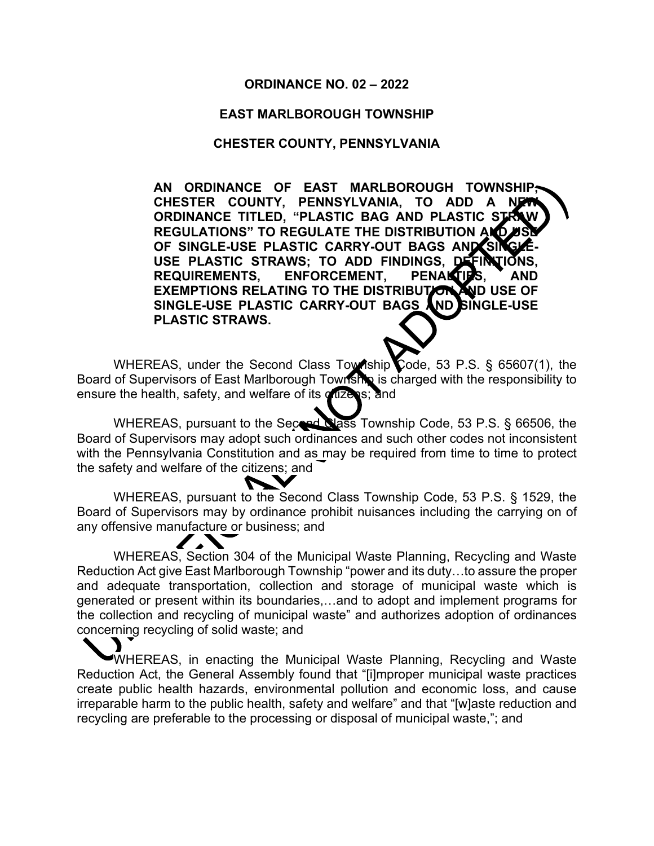#### **ORDINANCE NO. 02 – 2022**

#### **EAST MARLBOROUGH TOWNSHIP**

#### **CHESTER COUNTY, PENNSYLVANIA**

**AN ORDINANCE OF EAST MARLBOROUGH TOWNSHIP,**  CHESTER COUNTY, PENNSYLVANIA, TO ADD A **ORDINANCE TITLED, "PLASTIC BAG AND PLASTIC S' REGULATIONS" TO REGULATE THE DISTRIBUTION AN** OF SINGLE-USE PLASTIC CARRY-OUT BAGS AND SI USE PLASTIC STRAWS; TO ADD FINDINGS, DEFI**NT**ION<br>REQUIREMENTS. ENFORCEMENT. PENAKTIPS. AI ENFORCEMENT, PENAL**TIES,** AND **EXEMPTIONS RELATING TO THE DISTRIBUTION AND USE OF SINGLE-USE PLASTIC CARRY-OUT BAGS AND SINGLE-USE PLASTIC STRAWS.**

WHEREAS, under the Second Class Township Code, 53 P.S. § 65607(1), the Board of Supervisors of East Marlborough Township is charged with the responsibility to ensure the health, safety, and welfare of its citizens; and

WHEREAS, pursuant to the Second Class Township Code, 53 P.S. § 66506, the Board of Supervisors may adopt such ordinances and such other codes not inconsistent with the Pennsylvania Constitution and as may be required from time to time to protect the safety and welfare of the citizens; and

WHEREAS, pursuant to the Second Class Township Code, 53 P.S. § 1529, the Board of Supervisors may by ordinance prohibit nuisances including the carrying on of any offensive manufacture or business; and

WHEREAS, Section 304 of the Municipal Waste Planning, Recycling and Waste Reduction Act give East Marlborough Township "power and its duty…to assure the proper and adequate transportation, collection and storage of municipal waste which is generated or present within its boundaries,…and to adopt and implement programs for the collection and recycling of municipal waste" and authorizes adoption of ordinances concerning recycling of solid waste; and

WHEREAS, in enacting the Municipal Waste Planning, Recycling and Waste Reduction Act, the General Assembly found that "[i]mproper municipal waste practices create public health hazards, environmental pollution and economic loss, and cause irreparable harm to the public health, safety and welfare" and that "[w]aste reduction and recycling are preferable to the processing or disposal of municipal waste,"; and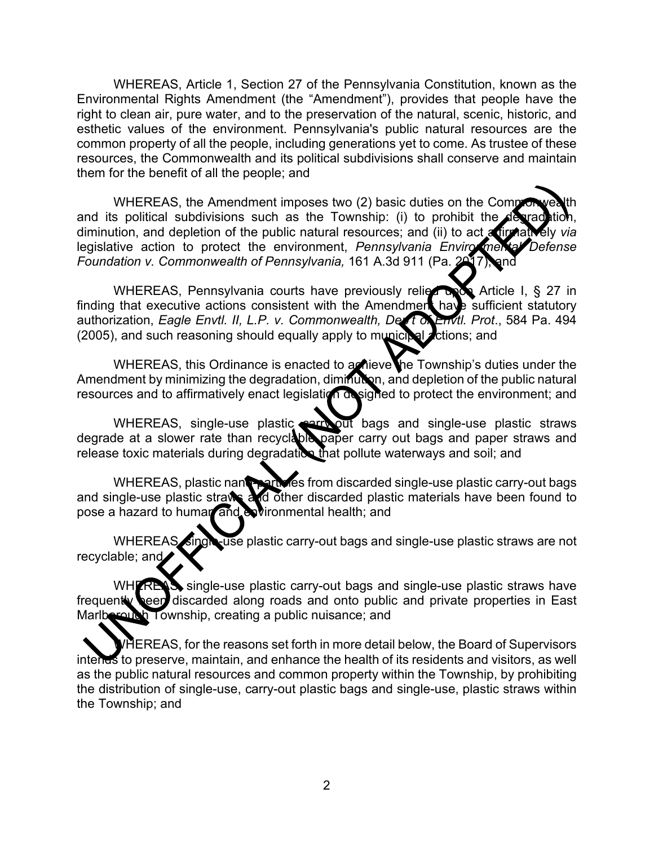WHEREAS, Article 1, Section 27 of the Pennsylvania Constitution, known as the Environmental Rights Amendment (the "Amendment"), provides that people have the right to clean air, pure water, and to the preservation of the natural, scenic, historic, and esthetic values of the environment. Pennsylvania's public natural resources are the common property of all the people, including generations yet to come. As trustee of these resources, the Commonwealth and its political subdivisions shall conserve and maintain them for the benefit of all the people; and

WHEREAS, the Amendment imposes two (2) basic duties on the Compronwealth and its political subdivisions such as the Township: (i) to prohibit the degrad tion, diminution, and depletion of the public natural resources; and (ii) to act affirmatively *via* legislative action to protect the environment, *Pennsylvania Enviro* mental Defense *Foundation v. Commonwealth of Pennsylvania,* 161 A.3d 911 (Pa. 2017).

WHEREAS, Pennsylvania courts have previously relied to Article I, § 27 in finding that executive actions consistent with the Amendment have sufficient statutory authorization, *Eagle Envtl. II, L.P. v. Commonwealth, Dep't of Envtl. Prot*., 584 Pa. 494 (2005), and such reasoning should equally apply to municipal *actions*; and

WHEREAS, this Ordinance is enacted to a nieve the Township's duties under the Amendment by minimizing the degradation, diminution, and depletion of the public natural resources and to affirmatively enact legislation designed to protect the environment; and

WHEREAS, single-use plastic **carry-out** bags and single-use plastic straws degrade at a slower rate than recyclable paper carry out bags and paper straws and release toxic materials during degradation that pollute waterways and soil; and

WHEREAS, plastic nant particles from discarded single-use plastic carry-out bags and single-use plastic straws and other discarded plastic materials have been found to pose a hazard to human and environmental health; and

WHEREAS, single-use plastic carry-out bags and single-use plastic straws are not recyclable; and

WHTREAS, single-use plastic carry-out bags and single-use plastic straws have frequently **been** discarded along roads and onto public and private properties in East Marlborough Township, creating a public nuisance; and

WHEREAS, for the reasons set forth in more detail below, the Board of Supervisors intends to preserve, maintain, and enhance the health of its residents and visitors, as well as the public natural resources and common property within the Township, by prohibiting the distribution of single-use, carry-out plastic bags and single-use, plastic straws within the Township; and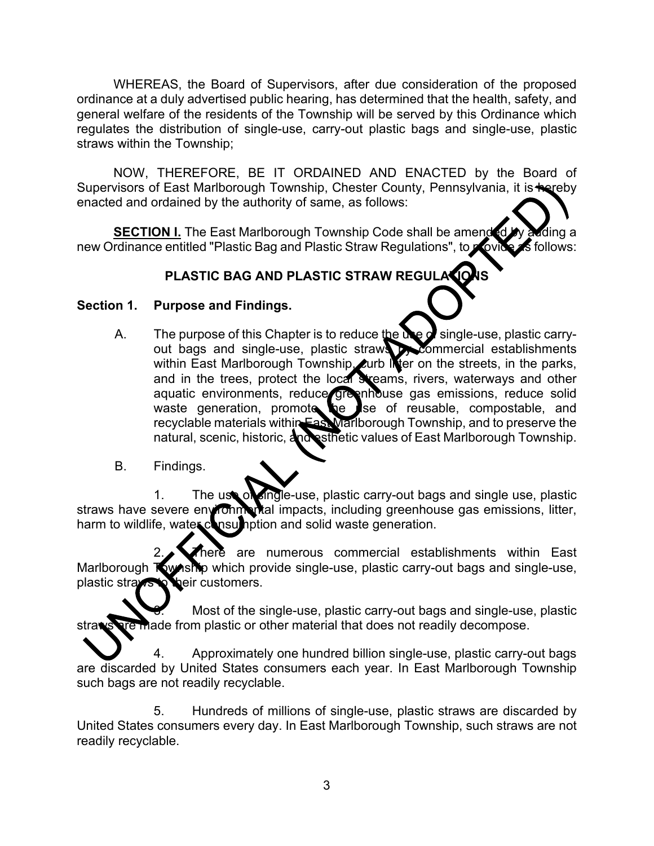WHEREAS, the Board of Supervisors, after due consideration of the proposed ordinance at a duly advertised public hearing, has determined that the health, safety, and general welfare of the residents of the Township will be served by this Ordinance which regulates the distribution of single-use, carry-out plastic bags and single-use, plastic straws within the Township;

NOW, THEREFORE, BE IT ORDAINED AND ENACTED by the Board of Supervisors of East Marlborough Township, Chester County, Pennsylvania, it is **thereby** enacted and ordained by the authority of same, as follows:

**<u>SECTION I.</u> The East Marlborough Township Code shall be amended by adding a** relation of the follows: new Ordinance entitled "Plastic Bag and Plastic Straw Regulations", to provide

# **PLASTIC BAG AND PLASTIC STRAW REGULATION**

### **Section 1. Purpose and Findings.**

- A. The purpose of this Chapter is to reduce the use  $\alpha$  single-use, plastic carryout bags and single-use, plastic straws by commercial establishments within East Marlborough Township, curb INter on the streets, in the parks, and in the trees, protect the local streams, rivers, waterways and other aquatic environments, reduce greenhouse gas emissions, reduce solid waste generation, promote the use of reusable, compostable, and recyclable materials within East Marlborough Township, and to preserve the natural, scenic, historic, and esthetic values of East Marlborough Township.
- B. Findings.

1. The use of single-use, plastic carry-out bags and single use, plastic straws have severe environmental impacts, including greenhouse gas emissions, litter, harm to wildlife, water consumption and solid waste generation.

here are numerous commercial establishments within East Marlborough Township which provide single-use, plastic carry-out bags and single-use, plastic straws to beir customers.

Most of the single-use, plastic carry-out bags and single-use, plastic straws are made from plastic or other material that does not readily decompose.

4. Approximately one hundred billion single-use, plastic carry-out bags are discarded by United States consumers each year. In East Marlborough Township such bags are not readily recyclable.

5. Hundreds of millions of single-use, plastic straws are discarded by United States consumers every day. In East Marlborough Township, such straws are not readily recyclable.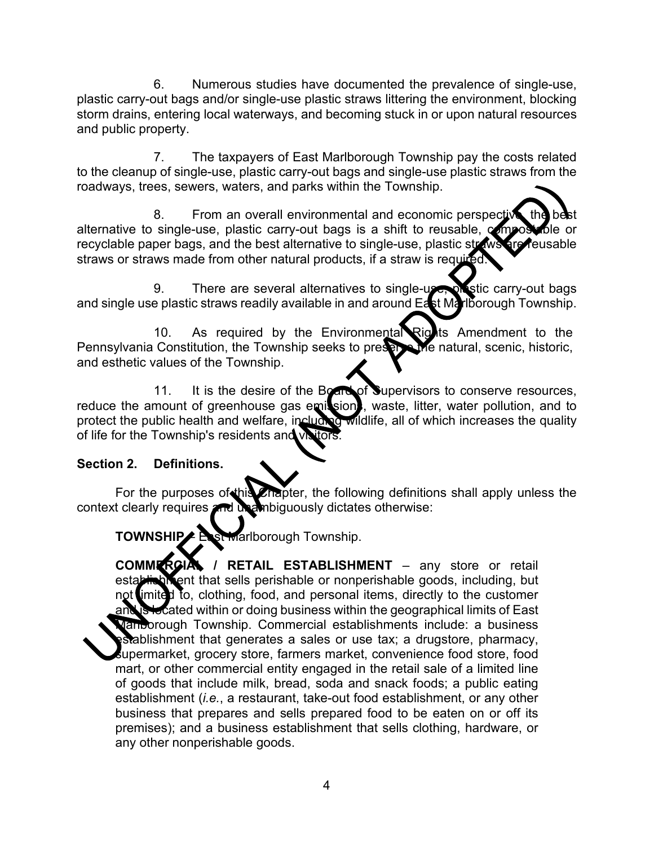6. Numerous studies have documented the prevalence of single-use, plastic carry-out bags and/or single-use plastic straws littering the environment, blocking storm drains, entering local waterways, and becoming stuck in or upon natural resources and public property.

7. The taxpayers of East Marlborough Township pay the costs related to the cleanup of single-use, plastic carry-out bags and single-use plastic straws from the roadways, trees, sewers, waters, and parks within the Township.

8. From an overall environmental and economic perspective alternative to single-use, plastic carry-out bags is a shift to reusable,  $\infty$  most to be recyclable paper bags, and the best alternative to single-use, plastic straws are reusable straws or straws made from other natural products, if a straw is required.

9. There are several alternatives to single-use, was tic carry-out bags and single use plastic straws readily available in and around East Marlborough Township.

10. As required by the Environmental Rights Amendment to the Pennsylvania Constitution, the Township seeks to preserve the natural, scenic, historic, and esthetic values of the Township.

11. It is the desire of the Board of Supervisors to conserve resources, reduce the amount of greenhouse gas emissions, waste, litter, water pollution, and to protect the public health and welfare, including wildlife, all of which increases the quality of life for the Township's residents and visitors.

### **Section 2. Definitions.**

For the purposes of this Chapter, the following definitions shall apply unless the context clearly requires and unambiguously dictates otherwise:

**TOWNSHIP** – East Marlborough Township.

**COMMERCIAL / RETAIL ESTABLISHMENT** – any store or retail establishment that sells perishable or nonperishable goods, including, but not limited to, clothing, food, and personal items, directly to the customer and is located within or doing business within the geographical limits of East Marlborough Township. Commercial establishments include: a business establishment that generates a sales or use tax; a drugstore, pharmacy, supermarket, grocery store, farmers market, convenience food store, food mart, or other commercial entity engaged in the retail sale of a limited line of goods that include milk, bread, soda and snack foods; a public eating establishment (*i.e.*, a restaurant, take-out food establishment, or any other business that prepares and sells prepared food to be eaten on or off its premises); and a business establishment that sells clothing, hardware, or any other nonperishable goods.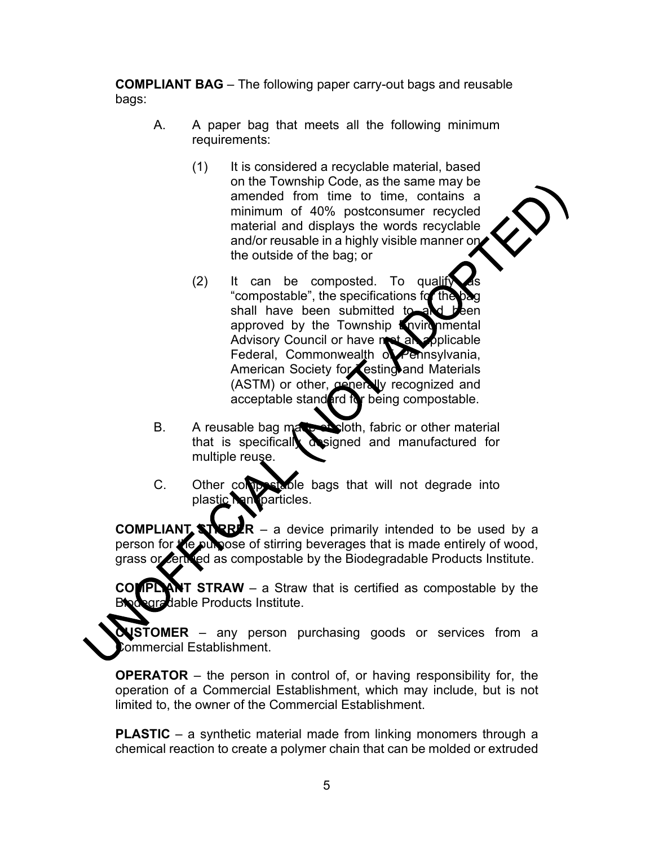**COMPLIANT BAG** – The following paper carry-out bags and reusable bags:

- A. A paper bag that meets all the following minimum requirements:
	- (1) It is considered a recyclable material, based on the Township Code, as the same may be amended from time to time, contains a minimum of 40% postconsumer recycled material and displays the words recyclable and/or reusable in a highly visible manner on the outside of the bag; or
	- $(2)$  It can be composted. To qualify "compostable", the specifications for shall have been submitted to approved by the Township Environmental Advisory Council or have met an applicable Federal, Commonwealth of Pennsylvania, American Society for Testing and Materials (ASTM) or other, generally recognized and acceptable standard for being compostable.
- B. A reusable bag manusulation, fabric or other material that is specifically designed and manufactured for multiple reuse.
- C. Other composition bags that will not degrade into plastic **Nanoparticles**.

**COMPLIANT STREFR** – a device primarily intended to be used by a person for the purpose of stirring beverages that is made entirely of wood, grass or certified as compostable by the Biodegradable Products Institute.

**COMPLIANT STRAW** – a Straw that is certified as compostable by the Biodegradable Products Institute.

**LUSTOMER** – any person purchasing goods or services from a ommercial Establishment.

**OPERATOR** – the person in control of, or having responsibility for, the operation of a Commercial Establishment, which may include, but is not limited to, the owner of the Commercial Establishment.

**PLASTIC** – a synthetic material made from linking monomers through a chemical reaction to create a polymer chain that can be molded or extruded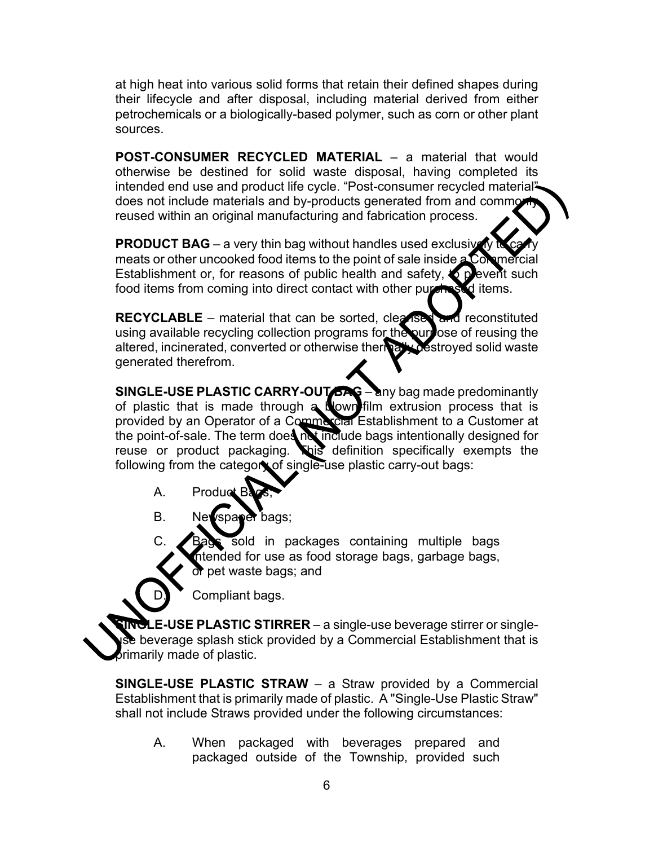at high heat into various solid forms that retain their defined shapes during their lifecycle and after disposal, including material derived from either petrochemicals or a biologically-based polymer, such as corn or other plant sources.

**POST-CONSUMER RECYCLED MATERIAL** – a material that would otherwise be destined for solid waste disposal, having completed its intended end use and product life cycle. "Post-consumer recycled material" does not include materials and by-products generated from and commo reused within an original manufacturing and fabrication process.

**PRODUCT BAG** – a very thin bag without handles used exclusively meats or other uncooked food items to the point of sale inside a Commercial Establishment or, for reasons of public health and safety,  $\bigcirc$  pevent such food items from coming into direct contact with other purchased items.

**RECYCLABLE** – material that can be sorted, cleansed and reconstituted using available recycling collection programs for the purpose of reusing the altered, incinerated, converted or otherwise thermally destroyed solid waste generated therefrom.

**SINGLE-USE PLASTIC CARRY-OUT BAG** – any bag made predominantly of plastic that is made through a blown-film extrusion process that is provided by an Operator of a Commercial Establishment to a Customer at the point-of-sale. The term does not include bags intentionally designed for reuse or product packaging. This definition specifically exempts the following from the category of single-use plastic carry-out bags:

- A. Product B
- B. Newspaper bags;

C. Bags sold in packages containing multiple bags intended for use as food storage bags, garbage bags, or pet waste bags; and

Compliant bags.

**E-USE PLASTIC STIRRER** – a single-use beverage stirrer or singletheverage splash stick provided by a Commercial Establishment that is brimarily made of plastic.

**SINGLE-USE PLASTIC STRAW** – a Straw provided by a Commercial Establishment that is primarily made of plastic. A "Single-Use Plastic Straw" shall not include Straws provided under the following circumstances:

A. When packaged with beverages prepared and packaged outside of the Township, provided such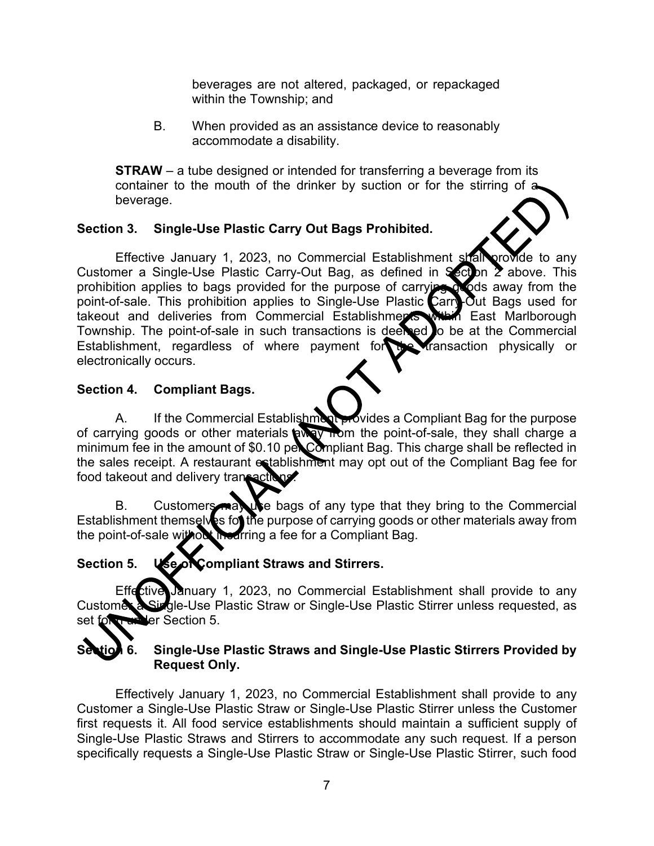beverages are not altered, packaged, or repackaged within the Township; and

B. When provided as an assistance device to reasonably accommodate a disability.

**STRAW** – a tube designed or intended for transferring a beverage from its container to the mouth of the drinker by suction or for the stirring of  $\triangle$ beverage.

# **Section 3. Single-Use Plastic Carry Out Bags Prohibited.**

Effective January 1, 2023, no Commercial Establishment shall provide to any Customer a Single-Use Plastic Carry-Out Bag, as defined in Section  $\overline{2}$  above. This prohibition applies to bags provided for the purpose of carrying goods away from the point-of-sale. This prohibition applies to Single-Use Plastic Carry-Out Bags used for takeout and deliveries from Commercial Establishments within East Marlborough Township. The point-of-sale in such transactions is deeled to be at the Commercial Establishment, regardless of where payment for the transaction physically or electronically occurs.

### **Section 4. Compliant Bags.**

A. If the Commercial Establishment provides a Compliant Bag for the purpose of carrying goods or other materials away from the point-of-sale, they shall charge a minimum fee in the amount of \$0.10 per Compliant Bag. This charge shall be reflected in the sales receipt. A restaurant establishment may opt out of the Compliant Bag fee for food takeout and delivery transaction

B. Customers may be bags of any type that they bring to the Commercial Establishment themselves for the purpose of carrying goods or other materials away from the point-of-sale without incurring a fee for a Compliant Bag.

# Section 5. **Use of Compliant Straws and Stirrers.**

Effective January 1, 2023, no Commercial Establishment shall provide to any<br>Custome a Single-Use Plastic Straw or Single-Use Plastic Stirrer unless requested, as Qle-Use Plastic Straw or Single-Use Plastic Stirrer unless requested, as set forth under Section 5.

# **Section 6. Single-Use Plastic Straws and Single-Use Plastic Stirrers Provided by Request Only.**

Effectively January 1, 2023, no Commercial Establishment shall provide to any Customer a Single-Use Plastic Straw or Single-Use Plastic Stirrer unless the Customer first requests it. All food service establishments should maintain a sufficient supply of Single-Use Plastic Straws and Stirrers to accommodate any such request. If a person specifically requests a Single-Use Plastic Straw or Single-Use Plastic Stirrer, such food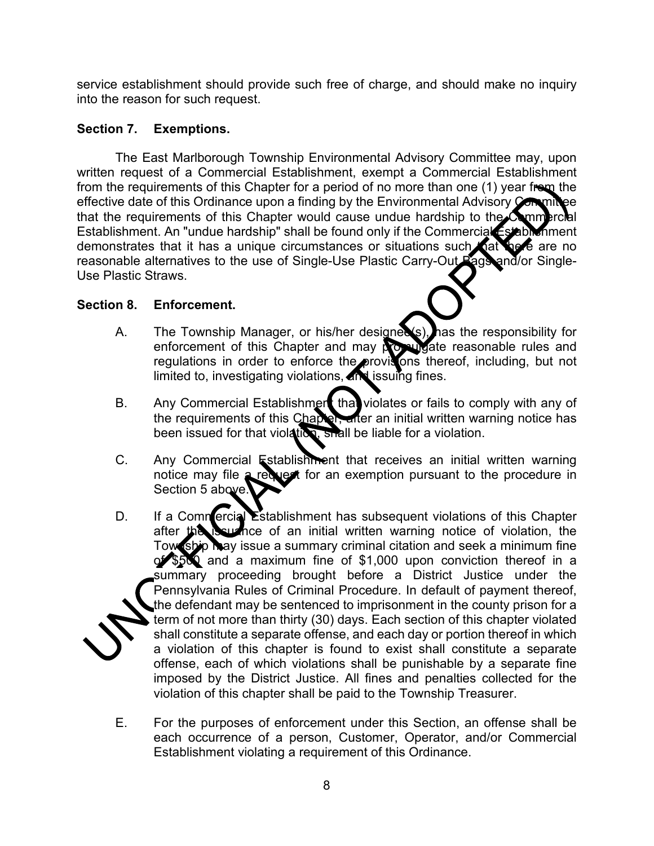service establishment should provide such free of charge, and should make no inquiry into the reason for such request.

#### **Section 7. Exemptions.**

The East Marlborough Township Environmental Advisory Committee may, upon written request of a Commercial Establishment, exempt a Commercial Establishment from the requirements of this Chapter for a period of no more than one (1) year from the effective date of this Ordinance upon a finding by the Environmental Advisory Commit that the requirements of this Chapter would cause undue hardship to the  $\mathcal{C}_{nm}$ Establishment. An "undue hardship" shall be found only if the Commercial Establishment<br>demonstrates that it has a unique circumstances or situations such nationed are no demonstrates that it has a unique circumstances or situations such that reasonable alternatives to the use of Single-Use Plastic Carry-Out Bags and/or Single-Use Plastic Straws.

### **Section 8. Enforcement.**

- A. The Township Manager, or his/her designees), has the responsibility for enforcement of this Chapter and may propulgate reasonable rules and regulations in order to enforce the provisions thereof, including, but not limited to, investigating violations, and issuing fines.
- B. Any Commercial Establishment that violates or fails to comply with any of the requirements of this Chapter, after an initial written warning notice has been issued for that violation, shall be liable for a violation.
- C. Any Commercial Establishment that receives an initial written warning notice may file a request for an exemption pursuant to the procedure in Section 5 above.
- D. If a Commercial Establishment has subsequent violations of this Chapter after the issuance of an initial written warning notice of violation, the Tow ship may issue a summary criminal citation and seek a minimum fine of \$500 and a maximum fine of \$1,000 upon conviction thereof in a summary proceeding brought before a District Justice under the Pennsylvania Rules of Criminal Procedure. In default of payment thereof, the defendant may be sentenced to imprisonment in the county prison for a term of not more than thirty (30) days. Each section of this chapter violated shall constitute a separate offense, and each day or portion thereof in which a violation of this chapter is found to exist shall constitute a separate offense, each of which violations shall be punishable by a separate fine imposed by the District Justice. All fines and penalties collected for the violation of this chapter shall be paid to the Township Treasurer.
- E. For the purposes of enforcement under this Section, an offense shall be each occurrence of a person, Customer, Operator, and/or Commercial Establishment violating a requirement of this Ordinance.